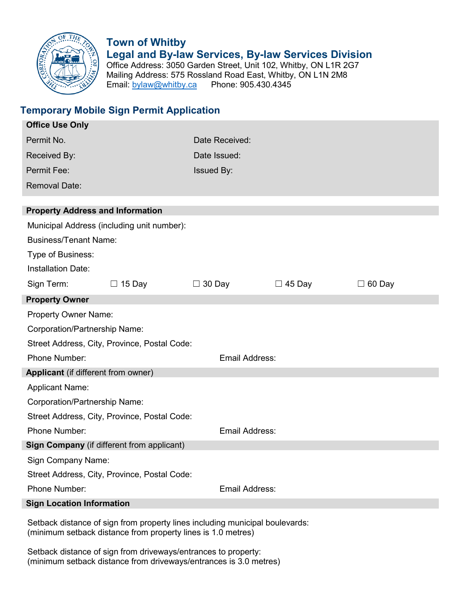

# **Town of Whitby Legal and By-law Services, By-law Services Division** Office Address: 3050 Garden Street, Unit 102, Whitby, ON L1R 2G7

Mailing Address: 575 Rossland Road East, Whitby, ON L1N 2M8<br>Email: bylaw@whitby.ca Phone: 905.430.4345 Email:  $by$ law@whitby.ca

## **Temporary Mobile Sign Permit Application**

| <b>Office Use Only</b>                                                     |               |                       |               |               |  |  |
|----------------------------------------------------------------------------|---------------|-----------------------|---------------|---------------|--|--|
| Permit No.                                                                 |               | Date Received:        |               |               |  |  |
| Received By:                                                               |               | Date Issued:          |               |               |  |  |
| Permit Fee:                                                                |               | <b>Issued By:</b>     |               |               |  |  |
| <b>Removal Date:</b>                                                       |               |                       |               |               |  |  |
|                                                                            |               |                       |               |               |  |  |
| <b>Property Address and Information</b>                                    |               |                       |               |               |  |  |
| Municipal Address (including unit number):<br><b>Business/Tenant Name:</b> |               |                       |               |               |  |  |
| Type of Business:<br><b>Installation Date:</b>                             |               |                       |               |               |  |  |
| Sign Term:                                                                 | $\Box$ 15 Day | $\Box$ 30 Day         | $\Box$ 45 Day | $\Box$ 60 Day |  |  |
| <b>Property Owner</b>                                                      |               |                       |               |               |  |  |
| <b>Property Owner Name:</b>                                                |               |                       |               |               |  |  |
| Corporation/Partnership Name:                                              |               |                       |               |               |  |  |
| Street Address, City, Province, Postal Code:                               |               |                       |               |               |  |  |
| Phone Number:                                                              |               | <b>Email Address:</b> |               |               |  |  |
| Applicant (if different from owner)                                        |               |                       |               |               |  |  |
| <b>Applicant Name:</b>                                                     |               |                       |               |               |  |  |
| Corporation/Partnership Name:                                              |               |                       |               |               |  |  |
| Street Address, City, Province, Postal Code:                               |               |                       |               |               |  |  |
| Phone Number:                                                              |               | <b>Email Address:</b> |               |               |  |  |
| Sign Company (if different from applicant)                                 |               |                       |               |               |  |  |
| Sign Company Name:                                                         |               |                       |               |               |  |  |
| Street Address, City, Province, Postal Code:                               |               |                       |               |               |  |  |
| Phone Number:                                                              |               | <b>Email Address:</b> |               |               |  |  |
| <b>Sign Location Information</b>                                           |               |                       |               |               |  |  |

Setback distance of sign from property lines including municipal boulevards: (minimum setback distance from property lines is 1.0 metres)

Setback distance of sign from driveways/entrances to property: (minimum setback distance from driveways/entrances is 3.0 metres)